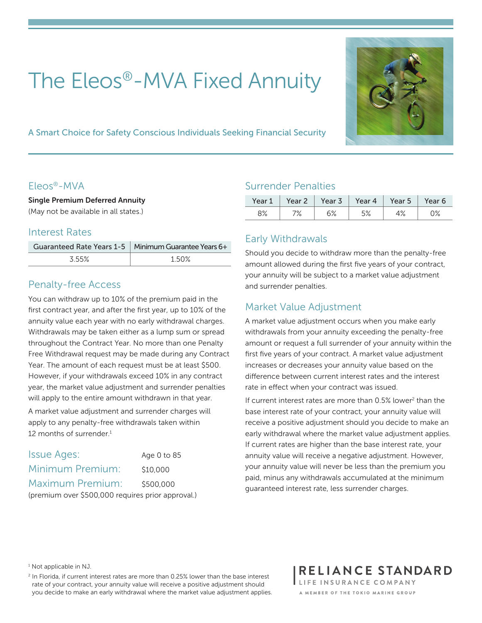# The Eleos®-MVA Fixed Annuity



A Smart Choice for Safety Conscious Individuals Seeking Financial Security

#### Eleos®-MVA

Single Premium Deferred Annuity (May not be available in all states.)

#### Interest Rates

|       | Guaranteed Rate Years 1-5   Minimum Guarantee Years 6+ |
|-------|--------------------------------------------------------|
| 3.55% | 1.50%                                                  |

#### Penalty-free Access

You can withdraw up to 10% of the premium paid in the first contract year, and after the first year, up to 10% of the annuity value each year with no early withdrawal charges. Withdrawals may be taken either as a lump sum or spread throughout the Contract Year. No more than one Penalty Free Withdrawal request may be made during any Contract Year. The amount of each request must be at least \$500. However, if your withdrawals exceed 10% in any contract year, the market value adjustment and surrender penalties will apply to the entire amount withdrawn in that year.

A market value adjustment and surrender charges will apply to any penalty-free withdrawals taken within 12 months of surrender.<sup>1</sup>

| <b>Issue Ages:</b>                                | Age 0 to 85 |  |  |
|---------------------------------------------------|-------------|--|--|
| Minimum Premium:                                  | \$10,000    |  |  |
| Maximum Premium:                                  | \$500,000   |  |  |
| (premium over \$500,000 requires prior approval.) |             |  |  |

#### Surrender Penalties

| Year 1 |    | Year 2   Year 3 |    | Year 4   Year 5   Year 6 |    |
|--------|----|-----------------|----|--------------------------|----|
| 8%     | 7% | رہ م<br>O ⁄o    | 5% | 4%                       | 0% |

## Early Withdrawals

Should you decide to withdraw more than the penalty-free amount allowed during the first five years of your contract, your annuity will be subject to a market value adjustment and surrender penalties.

## Market Value Adjustment

A market value adjustment occurs when you make early withdrawals from your annuity exceeding the penalty-free amount or request a full surrender of your annuity within the first five years of your contract. A market value adjustment increases or decreases your annuity value based on the difference between current interest rates and the interest rate in effect when your contract was issued.

If current interest rates are more than 0.5% lower<sup>2</sup> than the base interest rate of your contract, your annuity value will receive a positive adjustment should you decide to make an early withdrawal where the market value adjustment applies. If current rates are higher than the base interest rate, your annuity value will receive a negative adjustment. However, your annuity value will never be less than the premium you paid, minus any withdrawals accumulated at the minimum guaranteed interest rate, less surrender charges.

<sup>1</sup> Not applicable in NJ.

 $2$  In Florida, if current interest rates are more than 0.25% lower than the base interest rate of your contract, your annuity value will receive a positive adjustment should you decide to make an early withdrawal where the market value adjustment applies. RELIANCE STANDARD LIFE INSURANCE COMPANY A MEMBER OF THE TOKIO MARINE GROUP